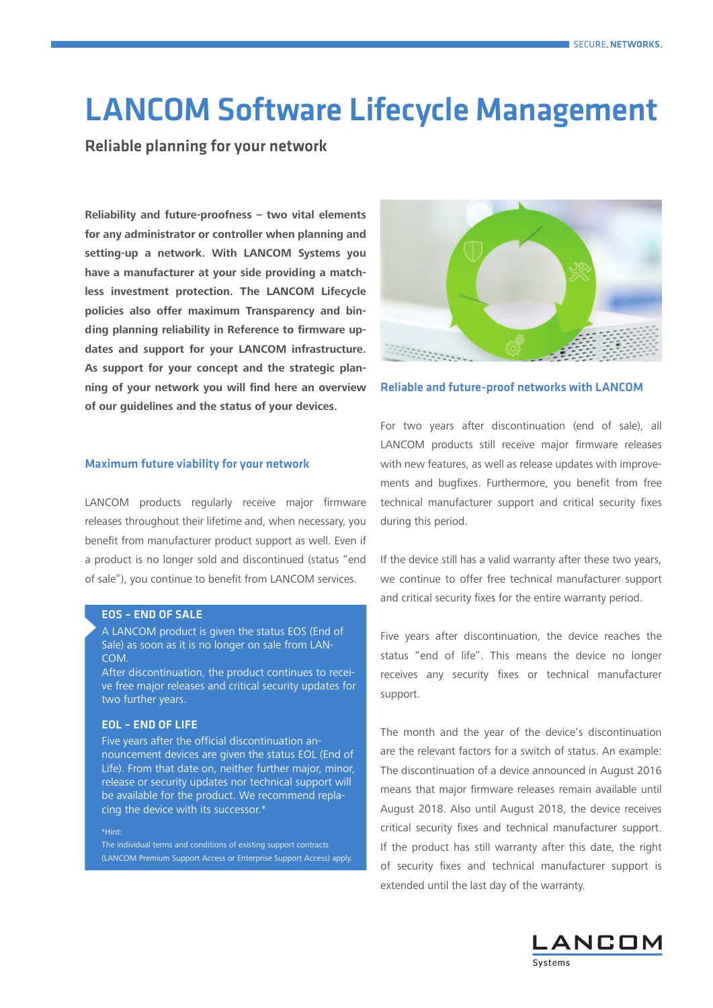# LANCOM Software Lifecycle Management

Reliable planning for your network

**Reliability and future-proofness – two vital elements for any administrator or controller when planning and setting-up a network. With LANCOM Systems you have a manufacturer at your side providing a matchless investment protection. The LANCOM Lifecycle policies also offer maximum Transparency and binding planning reliability in Reference to firmware updates and support for your LANCOM infrastructure. As support for your concept and the strategic planning of your network you will find here an overview of our guidelines and the status of your devices.**

## Maximum future viability for your network

LANCOM products regularly receive major firmware releases throughout their lifetime and, when necessary, you benefit from manufacturer product support as well. Even if a product is no longer sold and discontinued (status "end of sale"), you continue to benefit from LANCOM services.

## EOS – END OF SALE

A LANCOM product is given the status EOS (End of Sale) as soon as it is no longer on sale from LAN-COM.

After discontinuation, the product continues to receive free major releases and critical security updates for two further years.

#### EOL – END OF LIFE

Five years after the official discontinuation announcement devices are given the status EOL (End of Life). From that date on, neither further major, minor, release or security updates nor technical support will be available for the product. We recommend replacing the device with its successor.\*

\*Hint:

The individual terms and conditions of existing support contracts (LANCOM Premium Support Access or Enterprise Support Access) apply.



Reliable and future-proof networks with LANCOM

For two years after discontinuation (end of sale), all LANCOM products still receive major firmware releases with new features, as well as release updates with improvements and bugfixes. Furthermore, you benefit from free technical manufacturer support and critical security fixes during this period.

If the device still has a valid warranty after these two years, we continue to offer free technical manufacturer support and critical security fixes for the entire warranty period.

Five years after discontinuation, the device reaches the status "end of life". This means the device no longer receives any security fixes or technical manufacturer support.

The month and the year of the device's discontinuation are the relevant factors for a switch of status. An example: The discontinuation of a device announced in August 2016 means that major firmware releases remain available until August 2018. Also until August 2018, the device receives critical security fixes and technical manufacturer support. If the product has still warranty after this date, the right of security fixes and technical manufacturer support is extended until the last day of the warranty.